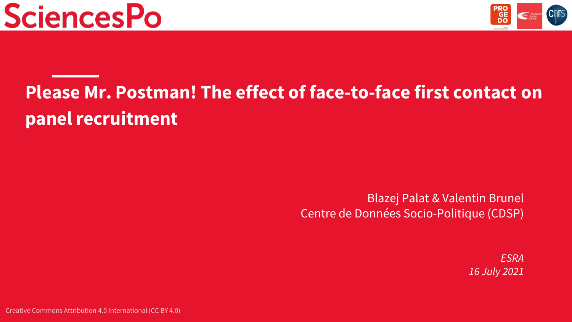



# **Please Mr. Postman! The effect of face-to-face first contact on panel recruitment**

Blazej Palat & Valentin Brunel Centre de Données Socio-Politique (CDSP)

> *ESRA 16 July 2021*

Creative Commons Attribution 4.0 International (CC BY 4.0)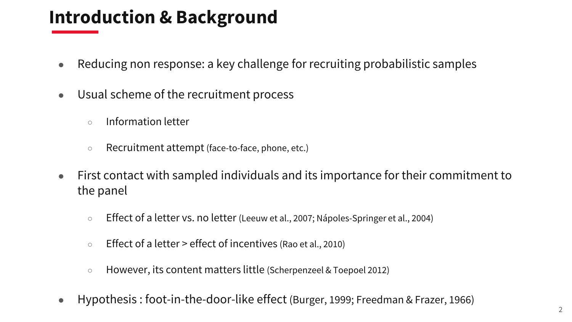# **Introduction & Background**

- Reducing non response: a key challenge for recruiting probabilistic samples
- Usual scheme of the recruitment process
	- Information letter
	- Recruitment attempt (face-to-face, phone, etc.)
- First contact with sampled individuals and its importance for their commitment to the panel
	- Effect of a letter vs. no letter (Leeuw et al., 2007; Nápoles-Springer et al., 2004)
	- Effect of a letter > effect of incentives (Rao et al., 2010)
	- However, its content matters little (Scherpenzeel & Toepoel 2012)
- Hypothesis : foot-in-the-door-like effect (Burger, 1999; Freedman & Frazer, 1966)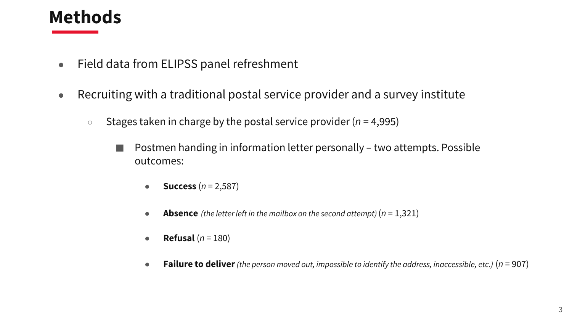## **Methods**

- Field data from ELIPSS panel refreshment
- Recruiting with a traditional postal service provider and a survey institute
	- Stages taken in charge by the postal service provider (*n* = 4,995)
		- Postmen handing in information letter personally two attempts. Possible outcomes:
			- **Success** (*n* = 2,587)
			- **Absence** *(the letter left in the mailbox on the second attempt)*  $(n = 1,321)$
			- **Refusal**  $(n = 180)$
			- **Failure to deliver***(the person moved out, impossible to identify the address, inaccessible, etc.)* (*n* = 907)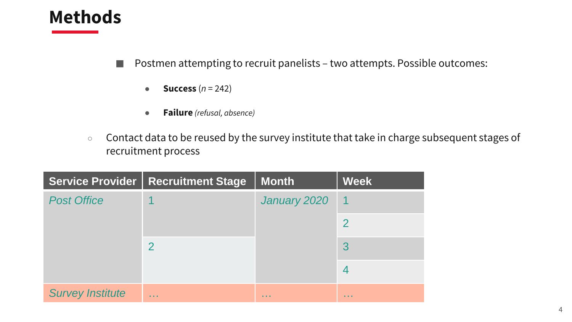### **Methods**

#### ■ Postmen attempting to recruit panelists – two attempts. Possible outcomes:

- $\bullet$  **Success**  $(n = 242)$
- **Failure** *(refusal, absence)*
- Contact data to be reused by the survey institute that take in charge subsequent stages of recruitment process

|                         | <b>Service Provider   Recruitment Stage</b> | <b>Month</b>  | <b>Week</b> |
|-------------------------|---------------------------------------------|---------------|-------------|
| <b>Post Office</b>      |                                             | January 2020  |             |
|                         |                                             |               |             |
|                         |                                             |               |             |
|                         |                                             |               |             |
| <b>Survey Institute</b> | <b>Allen</b>                                | <b>ALC: N</b> | .           |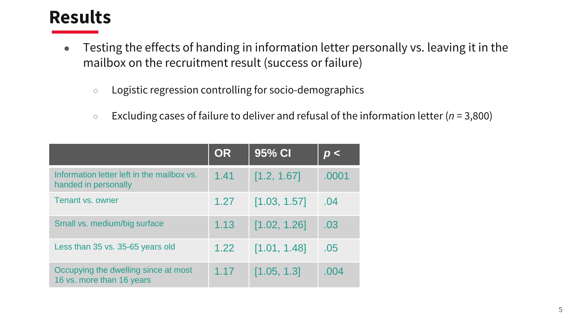# **Results**

- Testing the effects of handing in information letter personally vs. leaving it in the mailbox on the recruitment result (success or failure)
	- Logistic regression controlling for socio-demographics
	- Excluding cases of failure to deliver and refusal of the information letter (*n* = 3,800)

|                                                                    | <b>OR</b> | $95%$ CI,    | D <   |
|--------------------------------------------------------------------|-----------|--------------|-------|
| Information letter left in the mailbox vs.<br>handed in personally | 1.41      | [1.2, 1.67]  | .0001 |
| Tenant vs. owner                                                   | 1.27      | [1.03, 1.57] | .04   |
| Small vs. medium/big surface                                       | 1.13      | [1.02, 1.26] | .03   |
| Less than 35 vs. 35-65 years old                                   | 1.22      | [1.01, 1.48] | .05   |
| Occupying the dwelling since at most<br>16 vs. more than 16 years  | 1.17      | [1.05, 1.3]  | .004  |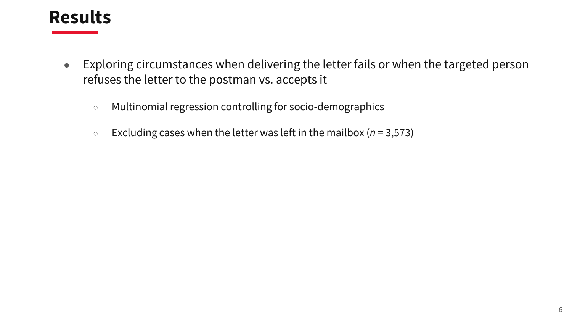### **Results**

- Exploring circumstances when delivering the letter fails or when the targeted person refuses the letter to the postman vs. accepts it
	- Multinomial regression controlling for socio-demographics
	- Excluding cases when the letter was left in the mailbox (*n* = 3,573)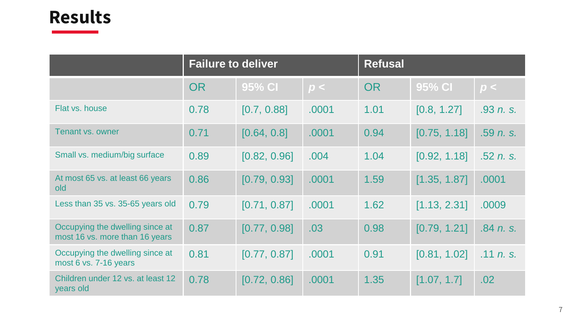## **Results**

|                                                                   | <b>Failure to deliver</b> |              |       | <b>Refusal</b> |              |           |
|-------------------------------------------------------------------|---------------------------|--------------|-------|----------------|--------------|-----------|
|                                                                   | <b>OR</b>                 | 95% CI       | p<    | <b>OR</b>      | 95% CI       | p<        |
| Flat vs. house                                                    | 0.78                      | [0.7, 0.88]  | .0001 | 1.01           | [0.8, 1.27]  | .93 n. s. |
| Tenant vs. owner                                                  | 0.71                      | [0.64, 0.8]  | .0001 | 0.94           | [0.75, 1.18] | .59 n.s.  |
| Small vs. medium/big surface                                      | 0.89                      | [0.82, 0.96] | .004  | 1.04           | [0.92, 1.18] | .52 n. s. |
| At most 65 vs. at least 66 years<br>old                           | 0.86                      | [0.79, 0.93] | .0001 | 1.59           | [1.35, 1.87] | .0001     |
| Less than 35 vs. 35-65 years old                                  | 0.79                      | [0.71, 0.87] | .0001 | 1.62           | [1.13, 2.31] | .0009     |
| Occupying the dwelling since at<br>most 16 vs. more than 16 years | 0.87                      | [0.77, 0.98] | .03   | 0.98           | [0.79, 1.21] | .84 n. s. |
| Occupying the dwelling since at<br>most 6 vs. 7-16 years          | 0.81                      | [0.77, 0.87] | .0001 | 0.91           | [0.81, 1.02] | .11 n. s. |
| Children under 12 vs. at least 12<br>years old                    | 0.78                      | [0.72, 0.86] | .0001 | 1.35           | [1.07, 1.7]  | .02       |